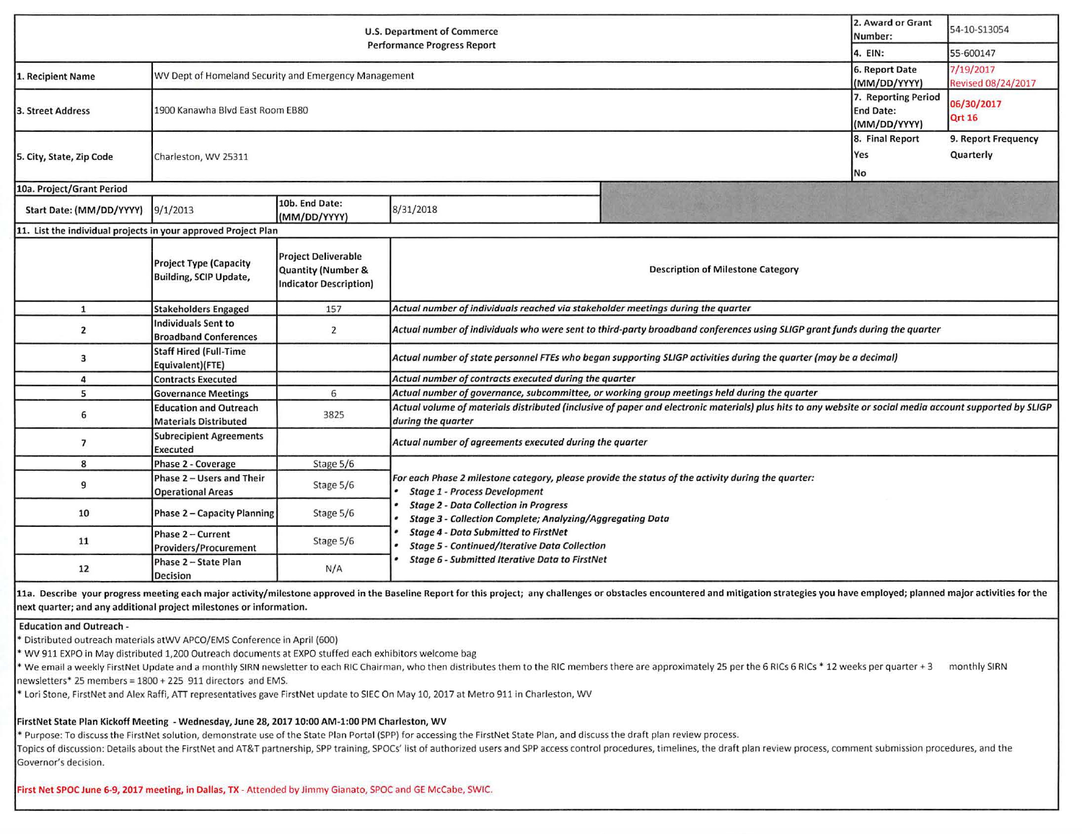| <b>U.S. Department of Commerce</b>                             |                                                               |                                                                                   |                                                                                                                                                                                | 2. Award or Grant<br>Number: | 54-10-S13054                                            |                                  |  |
|----------------------------------------------------------------|---------------------------------------------------------------|-----------------------------------------------------------------------------------|--------------------------------------------------------------------------------------------------------------------------------------------------------------------------------|------------------------------|---------------------------------------------------------|----------------------------------|--|
| <b>Performance Progress Report</b>                             |                                                               |                                                                                   | 4. EIN:                                                                                                                                                                        | 55-600147                    |                                                         |                                  |  |
| 1. Recipient Name                                              | WV Dept of Homeland Security and Emergency Management         |                                                                                   |                                                                                                                                                                                |                              | 6. Report Date<br>(MM/DD/YYYY)                          | 7/19/2017<br>Revised 08/24/2017  |  |
| 3. Street Address                                              | 1900 Kanawha Blvd East Room EB80                              |                                                                                   |                                                                                                                                                                                |                              | 7. Reporting Period<br><b>End Date:</b><br>(MM/DD/YYYY) | 06/30/2017<br><b>Qrt 16</b>      |  |
| 5. City, State, Zip Code                                       | Charleston, WV 25311                                          |                                                                                   |                                                                                                                                                                                |                              | 8. Final Report<br>Yes<br>No                            | 9. Report Frequency<br>Quarterly |  |
| 10a. Project/Grant Period                                      |                                                               |                                                                                   |                                                                                                                                                                                |                              |                                                         |                                  |  |
| Start Date: (MM/DD/YYYY)                                       | 9/1/2013                                                      | 10b. End Date:<br>(MM/DD/YYYY)                                                    | 8/31/2018                                                                                                                                                                      |                              |                                                         |                                  |  |
| 11. List the individual projects in your approved Project Plan |                                                               |                                                                                   |                                                                                                                                                                                |                              |                                                         |                                  |  |
|                                                                | <b>Project Type (Capacity</b><br>Building, SCIP Update,       | <b>Project Deliverable</b><br>Quantity (Number &<br><b>Indicator Description)</b> | <b>Description of Milestone Category</b>                                                                                                                                       |                              |                                                         |                                  |  |
| $\mathbf{1}$                                                   | <b>Stakeholders Engaged</b>                                   | 157                                                                               | Actual number of individuals reached via stakeholder meetings during the quarter                                                                                               |                              |                                                         |                                  |  |
| $\overline{2}$                                                 | <b>Individuals Sent to</b><br><b>Broadband Conferences</b>    | $\overline{2}$                                                                    | Actual number of individuals who were sent to third-party broadband conferences using SLIGP grant funds during the quarter                                                     |                              |                                                         |                                  |  |
| 3                                                              | <b>Staff Hired (Full-Time</b><br>Equivalent)(FTE)             |                                                                                   | Actual number of state personnel FTEs who began supporting SLIGP activities during the quarter (may be a decimal)                                                              |                              |                                                         |                                  |  |
| 4                                                              | <b>Contracts Executed</b>                                     |                                                                                   | Actual number of contracts executed during the quarter                                                                                                                         |                              |                                                         |                                  |  |
| 5                                                              | <b>Governance Meetings</b>                                    | 6                                                                                 | Actual number of governance, subcommittee, or working group meetings held during the quarter                                                                                   |                              |                                                         |                                  |  |
| 6                                                              | <b>Education and Outreach</b><br><b>Materials Distributed</b> | 3825                                                                              | Actual volume of materials distributed (inclusive of paper and electronic materials) plus hits to any website or social media account supported by SLIGP<br>during the quarter |                              |                                                         |                                  |  |
| $\overline{7}$                                                 | <b>Subrecipient Agreements</b><br><b>Executed</b>             |                                                                                   | Actual number of agreements executed during the quarter                                                                                                                        |                              |                                                         |                                  |  |
| 8                                                              | Phase 2 - Coverage                                            | Stage 5/6                                                                         |                                                                                                                                                                                |                              |                                                         |                                  |  |
| 9                                                              | Phase 2 - Users and Their<br><b>Operational Areas</b>         | Stage 5/6                                                                         | For each Phase 2 milestone category, please provide the status of the activity during the quarter:<br><b>Stage 1 - Process Development</b>                                     |                              |                                                         |                                  |  |
| 10                                                             | <b>Phase 2 - Capacity Planning</b>                            | Stage 5/6                                                                         | <b>Stage 2 - Data Collection in Progress</b><br><b>Stage 3 - Collection Complete; Analyzing/Aggregating Data</b>                                                               |                              |                                                         |                                  |  |
| 11                                                             | Phase 2 - Current<br>Providers/Procurement                    | Stage 5/6                                                                         | <b>Stage 4 - Data Submitted to FirstNet</b><br><b>Stage 5 - Continued/Iterative Data Collection</b>                                                                            |                              |                                                         |                                  |  |
| 12                                                             | Phase 2 - State Plan<br><b>Decision</b>                       | N/A                                                                               | Stage 6 - Submitted Iterative Data to FirstNet                                                                                                                                 |                              |                                                         |                                  |  |

11a. Describe your progress meeting each major activity/milestone approved in the Baseline Report for this project; any challenges or obstacles encountered and mitigation strategies you have employed; planned major activit next quarter; and any additional project milestones or information.

#### Education and Outreach ·

• Distributed outreach materials atWV APCO/EMS Conference in April (600)

• WV 911 EXPO in May distributed 1,200 Outreach documents at EXPO stuffed each exhibitors welcome bag

• We email a weekly FirstNet Update and a monthly SIRN newsletter to each RIC Chairman, who then distributes them to the RIC members there are approximately 25 per the 6 RICs 6 RICs • 12 weeks per quarter+ 3 monthly SIRN newsletters• 25 members= 1800 + 225 911 directors and EMS.

• Lori Stone, FirstNet and Alex Raffi, ATT representatives gave FirstNet update to SIEC On May 10, 2017 at Metro 911 in Charleston, WV

## FirstNet State Plan Kickoff Meeting - Wednesday, June 28, 2017 10:00 AM-1:00 PM Charleston, WV

• Purpose: To discuss the FirstNet solution, demonstrate use of the State Plan Portal (SPP) for accessing the FirstNet State Plan, and discuss the draft plan review process.

Topics of discussion: Details about the FirstNet and AT&T partnership, SPP training, SPOCs' list of authorized users and SPP access control procedures, timelines, the draft plan review process, comment submission procedure Governor's decision.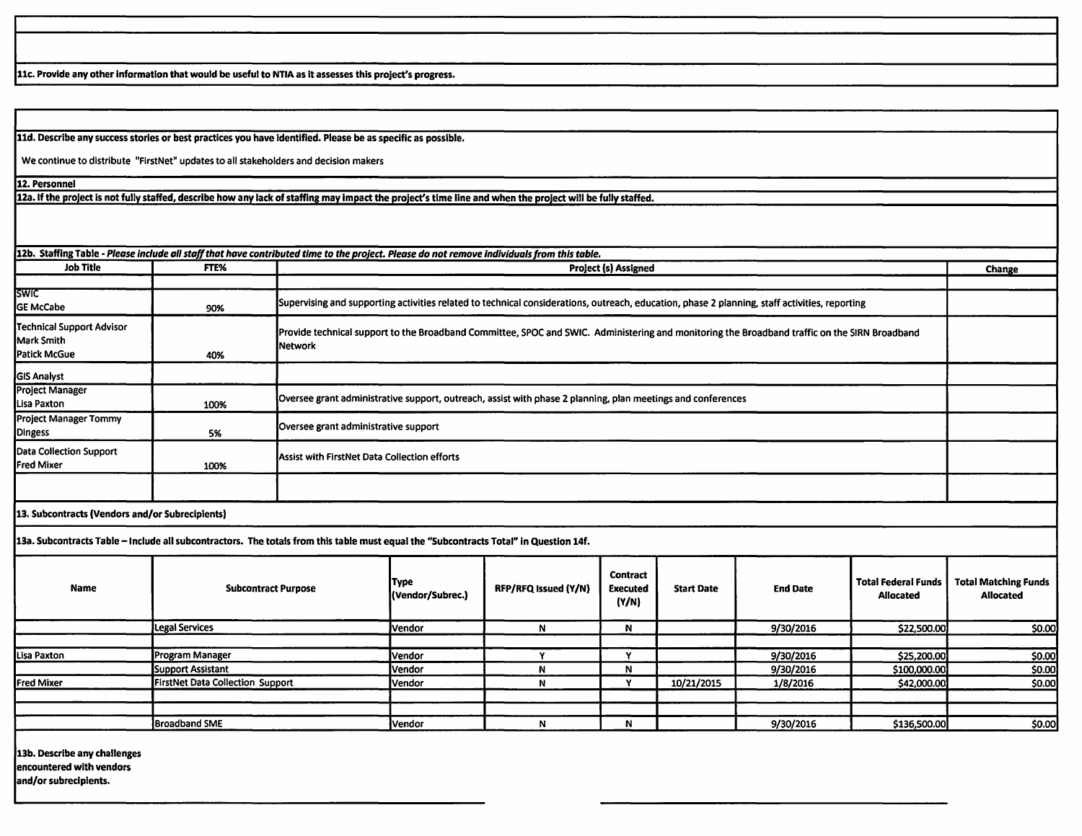11c. Provide any other information that would be useful to NTIA as it assesses this project's progress.

11d, Describe any success stories or best practices you have identified. Please be as specific as possible.

We continue to distribute "FirstNet" updates to all stakeholders and decision makers

12. Personnel

12a. If the project is not fully staffed, describe how any lack of staffing may impact the project's time line and when the project will be fully staffed.

**12b.** Staffing Table - *Please Include all stall that have contributed time to the project. Please do not remove Individuals from this table.* 

| <b>Job Title</b>                                        | FTE% | <b>Project (s) Assigned</b>                                                                                                                                     | Change |
|---------------------------------------------------------|------|-----------------------------------------------------------------------------------------------------------------------------------------------------------------|--------|
|                                                         |      |                                                                                                                                                                 |        |
| <b>SWIC</b><br><b>GE McCabe</b>                         | 90%  | Supervising and supporting activities related to technical considerations, outreach, education, phase 2 planning, staff activities, reporting                   |        |
| Technical Support Advisor<br>Mark Smith<br>Patick McGue | 40%  | Provide technical support to the Broadband Committee, SPOC and SWIC. Administering and monitoring the Broadband traffic on the SIRN Broadband<br><b>Network</b> |        |
| <b>GIS Analyst</b>                                      |      |                                                                                                                                                                 |        |
| Project Manager<br>Lisa Paxton                          | 100% | Oversee grant administrative support, outreach, assist with phase 2 planning, plan meetings and conferences                                                     |        |
| <b>Project Manager Tommy</b><br><b>Dingess</b>          | 5%   | Oversee grant administrative support                                                                                                                            |        |
| Data Collection Support<br>Fred Mixer                   | 100% | Assist with FirstNet Data Collection efforts                                                                                                                    |        |
|                                                         |      |                                                                                                                                                                 |        |
|                                                         |      |                                                                                                                                                                 |        |

**13, Subcontracts (Vendors and/or Subreciplents)** 

**13a. Subcontracts Table** - **Include all subcontractors.** The **totals from this table must equal the "Subcontracts Total"** in **Question 14f.** 

| <b>Name</b>       | <b>Subcontract Purpose</b>       | <b>Type</b><br>l(Vendor/Subrec.) | RFP/RFQ Issued (Y/N) | <b>Contract</b><br><b>Executed</b><br>(Y/N) | <b>Start Date</b> | <b>End Date</b> | Total Federal Funds<br><b>Allocated</b> | <b>Total Matching Funds</b><br><b>Allocated</b> |
|-------------------|----------------------------------|----------------------------------|----------------------|---------------------------------------------|-------------------|-----------------|-----------------------------------------|-------------------------------------------------|
|                   | Legal Services                   | <b>Vendor</b>                    |                      | N                                           |                   | 9/30/2016       | \$22,500.00                             | \$0.00                                          |
|                   |                                  |                                  |                      |                                             |                   |                 |                                         |                                                 |
| Lisa Paxton       | Program Manager                  | Vendor                           |                      |                                             |                   | 9/30/2016       | \$25,200.00                             | \$0.00                                          |
|                   | Support Assistant                | Vendor                           | N                    | N                                           |                   | 9/30/2016       | \$100,000.00                            | \$0.00                                          |
| <b>Fred Mixer</b> | FirstNet Data Collection Support | Vendor                           |                      |                                             | 10/21/2015        | 1/8/2016        | \$42,000.00                             | \$0.00                                          |
|                   |                                  |                                  |                      |                                             |                   |                 |                                         |                                                 |
|                   |                                  |                                  |                      |                                             |                   |                 |                                         |                                                 |
|                   | <b>Broadband SME</b>             | Vendor                           |                      |                                             |                   | 9/30/2016       | \$136,500.00                            | \$0.00                                          |

**13b. Describe any challenges encountered with vendors and/or subrecipients.**